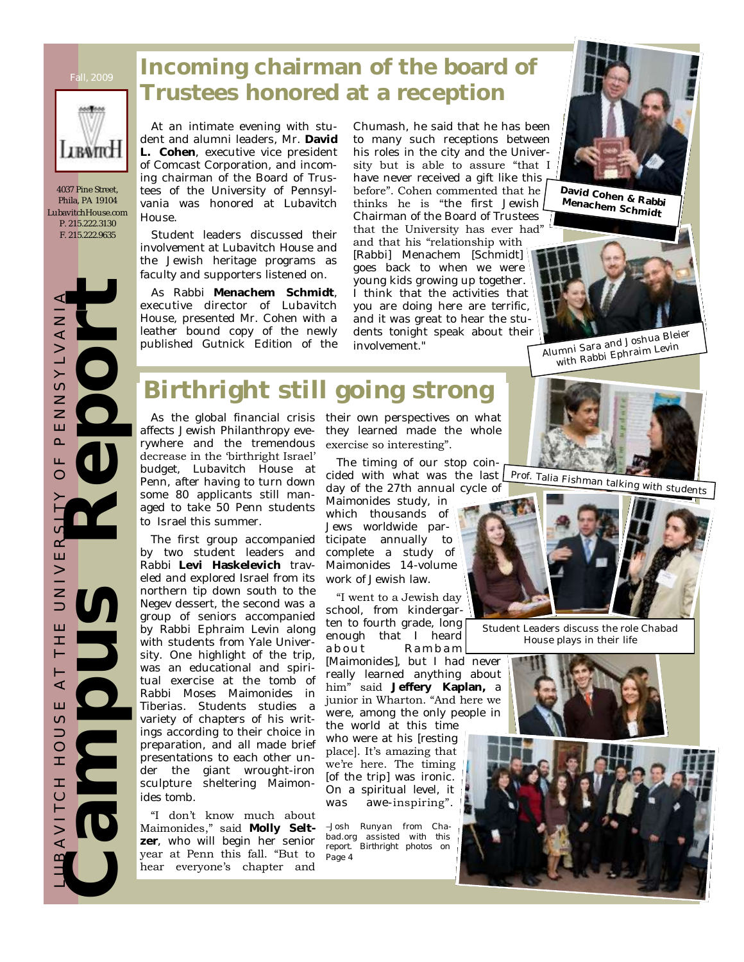

4037 Pine Street, Phila, PA 19104 LubavitchHouse.com P. 215.222.3130 F. 215.222.9635

 $\overline{z}$  $\prec$  $\geq$ 

 $\geq$  $\circ$  $\overline{z}$ Z Ш  $\Omega$ LL.  $\subset$ 

LUBAVIT CH O LO Y LOUSE AT THE AT THE AT THE AND HOT TO HOT A

 $\prec$ Ш  $\circ$  $\Rightarrow$  $\circ$ Ĩ. H  $\bigcirc$ 

 $\prec$ 

 $\alpha$ Ш  $\geq$ Z  $\Rightarrow$ Ш Ŧ ⊢

At an intimate evening with student and alumni leaders, Mr. **David L. Cohen**, executive vice president of Comcast Corporation, and incoming chairman of the Board of Trustees of the University of Pennsylvania was honored at Lubavitch House.

Student leaders discussed their involvement at Lubavitch House and the Jewish heritage programs as faculty and supporters listened on.

As Rabbi **Menachem Schmidt**, executive director of Lubavitch House, presented Mr. Cohen with a leather bound copy of the newly published Gutnick Edition of the

Chumash, he said that he has been to many such receptions between his roles in the city and the University but is able to assure "that I have never received a gift like this before". Cohen commented that he thinks he is "the first Jewish Chairman of the Board of Trustees that the University has ever had" and that his "relationship with [Rabbi] Menachem [Schmidt]

goes back to when we were young kids growing up together. I think that the activities that you are doing here are terrific, and it was great to hear the students tonight speak about their involvement."



**David Cohen & Rabbi Menachem Schmidt**



Alumni Sara and Joshua Bleier with Rabbi Ephraim Levin

## **Birthright still going strong**

affects Jewish Philanthropy everywhere and the tremendous decrease in the "birthright Israel" budget, Lubavitch House at Penn, after having to turn down some 80 applicants still managed to take 50 Penn students to Israel this summer.

The first group accompanied by two student leaders and Rabbi **Levi Haskelevich** traveled and explored Israel from its northern tip down south to the Negev dessert, the second was a group of seniors accompanied by Rabbi Ephraim Levin along with students from Yale University. One highlight of the trip, was an educational and spiritual exercise at the tomb of Rabbi Moses Maimonides in Tiberias. Students studies a variety of chapters of his writings according to their choice in preparation, and all made brief presentations to each other under the giant wrought-iron sculpture sheltering Maimonides tomb. Experienced and the sense of the sense of the sense of the sense of the sense of the sense of the sense of the sense of the sense of the sense of the sense of the sense of the sense of the sense of the sense of the sense o

"I don"t know much about Maimonides," said **Molly Seltzer**, who will begin her senior year at Penn this fall. "But to hear everyone's chapter and

As the global financial crisis their own perspectives on what they learned made the whole exercise so interesting".

> The timing of our stop coincided with what was the last day of the 27th annual cycle of

Maimonides study, in which thousands of Jews worldwide participate annually to complete a study of Maimonides 14-volume work of Jewish law.

"I went to a Jewish day school, from kindergarten to fourth grade, long enough that I heard about Rambam

[Maimonides], but I had never really learned anything about him" said **Jeffery Kaplan,** a junior in Wharton. "And here we were, among the only people in

the world at this time who were at his [resting place]. It's amazing that we're here. The timing [of the trip] was ironic. On a spiritual level, it was awe-inspiring".

*–Josh Runyan from Chabad.org assisted with this report. Birthright photos on Page 4*





Student Leaders discuss the role Chabad House plays in their life

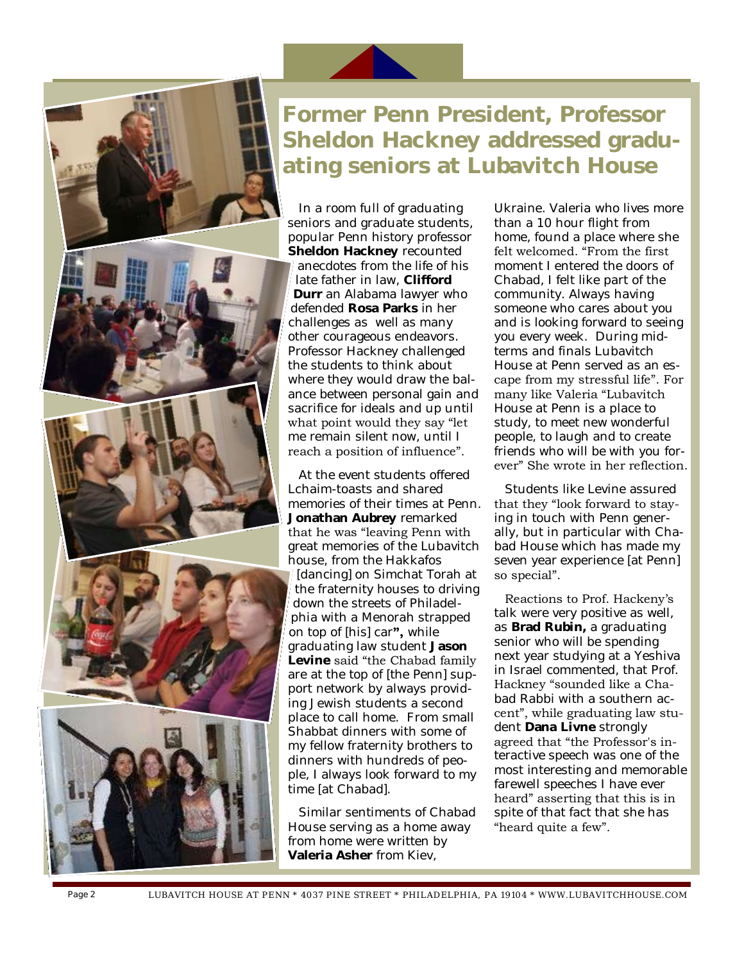

## **Former Penn President, Professor Sheldon Hackney addressed graduating seniors at Lubavitch House**

In a room full of graduating seniors and graduate students, popular Penn history professor **Sheldon Hackney** recounted anecdotes from the life of his late father in law, **Clifford Durr** an Alabama lawyer who defended **Rosa Parks** in her challenges as well as many other courageous endeavors. Professor Hackney challenged the students to think about where they would draw the balance between personal gain and sacrifice for ideals and up until what point would they say "let me remain silent now, until I reach a position of influence".

At the event students offered Lchaim-toasts and shared memories of their times at Penn. **Jonathan Aubrey** remarked that he was "leaving Penn with great memories of the Lubavitch house, from the Hakkafos [dancing] on Simchat Torah at the fraternity houses to driving down the streets of Philadelphia with a Menorah strapped on top of [his] car**",** while graduating law student **Jason Levine** said "the Chabad family are at the top of [the Penn] support network by always providing Jewish students a second place to call home. From small Shabbat dinners with some of my fellow fraternity brothers to dinners with hundreds of people, I always look forward to my time [at Chabad].

Similar sentiments of Chabad House serving as a home away from home were written by **Valeria Asher** from Kiev,

Ukraine. Valeria who lives more than a 10 hour flight from home, found a place where she felt welcomed. "From the first moment I entered the doors of Chabad, I felt like part of the community. Always having someone who cares about you and is looking forward to seeing you every week. During midterms and finals Lubavitch House at Penn served as an escape from my stressful life". For many like Valeria "Lubavitch House at Penn is a place to study, to meet new wonderful people, to laugh and to create friends who will be with you forever" She wrote in her reflection.

Students like Levine assured that they "look forward to staying in touch with Penn generally, but in particular with Chabad House which has made my seven year experience [at Penn] so special".

Reactions to Prof. Hackeny"s talk were very positive as well, as **Brad Rubin,** a graduating senior who will be spending next year studying at a Yeshiva in Israel commented, that Prof. Hackney "sounded like a Chabad Rabbi with a southern accent", while graduating law student **Dana Livne** strongly agreed that "the Professor's interactive speech was one of the most interesting and memorable farewell speeches I have ever heard" asserting that this is in spite of that fact that she has "heard quite a few".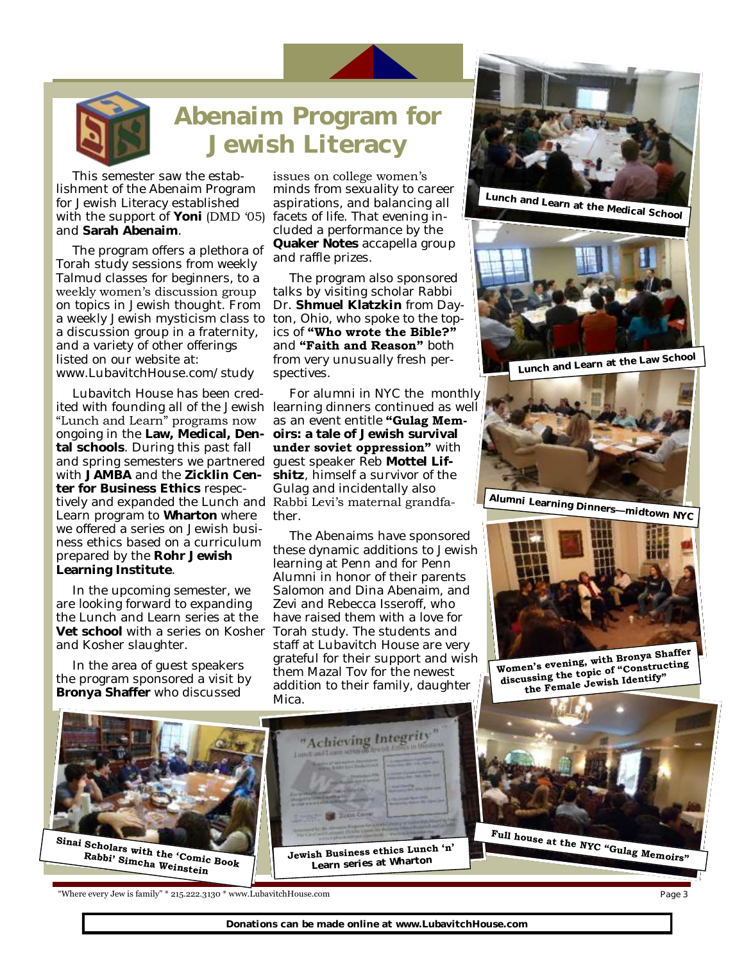

## **Abenaim Program for Jewish Literacy**

This semester saw the establishment of the Abenaim Program for Jewish Literacy established with the support of Yoni (DMD '05) and **Sarah Abenaim**.

The program offers a plethora of Torah study sessions from weekly Talmud classes for beginners, to a weekly women's discussion group on topics in Jewish thought. From a weekly Jewish mysticism class to a discussion group in a fraternity, and a variety of other offerings listed on our website at: www.LubavitchHouse.com/study

Lubavitch House has been credited with founding all of the Jewish learning dinners continued as well "Lunch and Learn" programs now ongoing in the **Law, Medical, Dental schools**. During this past fall and spring semesters we partnered with **JAMBA** and the **Zicklin Center for Business Ethics** respectively and expanded the Lunch and Rabbi Levi's maternal grandfa-Learn program to **Wharton** where we offered a series on Jewish business ethics based on a curriculum prepared by the **Rohr Jewish Learning Institute**.

In the upcoming semester, we are looking forward to expanding the Lunch and Learn series at the **Vet school** with a series on Kosher Torah study. The students and and Kosher slaughter.

In the area of guest speakers the program sponsored a visit by **Bronya Shaffer** who discussed

issues on college women's minds from sexuality to career aspirations, and balancing all facets of life. That evening included a performance by the **Quaker Notes** accapella group and raffle prizes.

The program also sponsored talks by visiting scholar Rabbi Dr. **Shmuel Klatzkin** from Dayton, Ohio, who spoke to the topics of **"Who wrote the Bible?"** and **"Faith and Reason"** both from very unusually fresh perspectives.

For alumni in NYC the monthly as an event entitle **"Gulag Memoirs: a tale of Jewish survival under soviet oppression"** with guest speaker Reb **Mottel Lifshitz**, himself a survivor of the Gulag and incidentally also ther.

The Abenaims have sponsored these dynamic additions to Jewish learning at Penn and for Penn Alumni in honor of their parents Salomon and Dina Abenaim, and Zevi and Rebecca Isseroff, who have raised them with a love for staff at Lubavitch House are very grateful for their support and wish them Mazal Tov for the newest addition to their family, daughter Mica.









Women's evening, with Bronya Shaffer<br>discussing the topic of "Constructing<br>the Female Jewish Identify"



"Where every Jew is family" \* 215.222.3130 \* www.LubavitchHouse.com

Page 3

**Donations can be made online at www.LubavitchHouse.com**